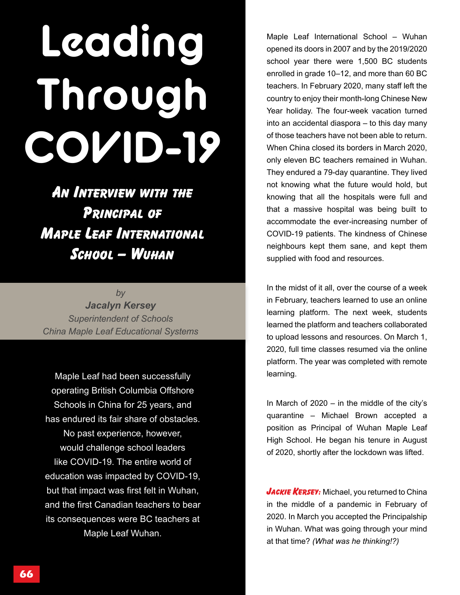# **Leading Through COVID-19**

An Interview with the Principal of Maple Leaf International School – Wuhan

*by Jacalyn Kersey Superintendent of Schools China Maple Leaf Educational Systems*

Maple Leaf had been successfully operating British Columbia Offshore Schools in China for 25 years, and has endured its fair share of obstacles. No past experience, however, would challenge school leaders like COVID-19. The entire world of education was impacted by COVID-19, but that impact was first felt in Wuhan, and the first Canadian teachers to bear its consequences were BC teachers at Maple Leaf Wuhan.

Maple Leaf International School – Wuhan opened its doors in 2007 and by the 2019/2020 school year there were 1,500 BC students enrolled in grade 10–12, and more than 60 BC teachers. In February 2020, many staff left the country to enjoy their month-long Chinese New Year holiday. The four-week vacation turned into an accidental diaspora – to this day many of those teachers have not been able to return. When China closed its borders in March 2020, only eleven BC teachers remained in Wuhan. They endured a 79-day quarantine. They lived not knowing what the future would hold, but knowing that all the hospitals were full and that a massive hospital was being built to accommodate the ever-increasing number of COVID-19 patients. The kindness of Chinese neighbours kept them sane, and kept them supplied with food and resources.

In the midst of it all, over the course of a week in February, teachers learned to use an online learning platform. The next week, students learned the platform and teachers collaborated to upload lessons and resources. On March 1, 2020, full time classes resumed via the online platform. The year was completed with remote learning.

In March of  $2020 - in$  the middle of the city's quarantine – Michael Brown accepted a position as Principal of Wuhan Maple Leaf High School. He began his tenure in August of 2020, shortly after the lockdown was lifted.

JACKIE KERSEY: Michael, you returned to China in the middle of a pandemic in February of 2020. In March you accepted the Principalship in Wuhan. What was going through your mind at that time? *(What was he thinking!?)*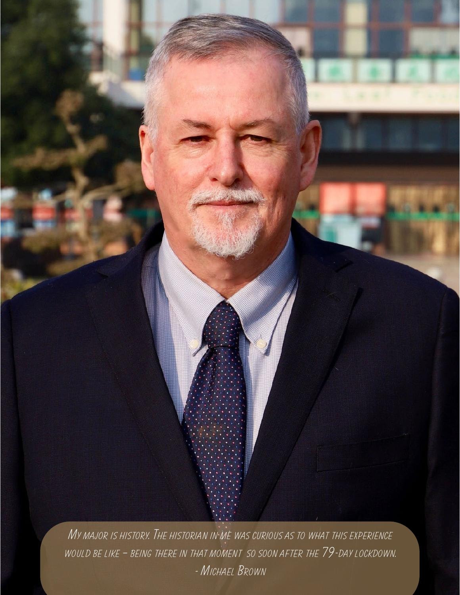*My major is history. The historian in me was curious as to what this experience would be like – being there in that moment so soon after the 79-day lockdown.* 

*- Michael Brown*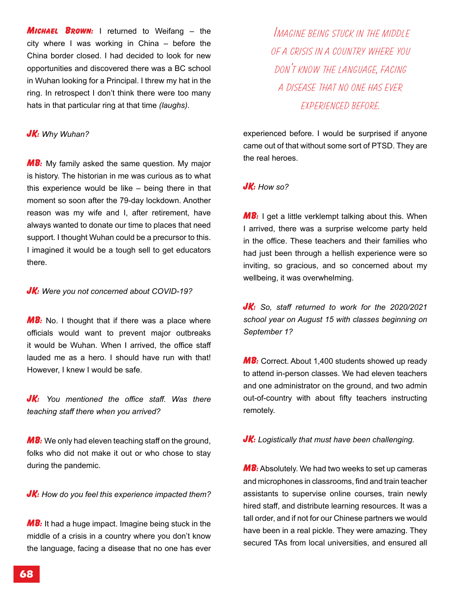**MICHAEL BROWN:** I returned to Weifang – the city where I was working in China – before the China border closed. I had decided to look for new opportunities and discovered there was a BC school in Wuhan looking for a Principal. I threw my hat in the ring. In retrospect I don't think there were too many hats in that particular ring at that time *(laughs)*.

# JK: *Why Wuhan?*

**MB:** My family asked the same question. My major is history. The historian in me was curious as to what this experience would be like – being there in that moment so soon after the 79-day lockdown. Another reason was my wife and I, after retirement, have always wanted to donate our time to places that need support. I thought Wuhan could be a precursor to this. I imagined it would be a tough sell to get educators there.

## **JK:** Were you not concerned about COVID-19?

**MB:** No. I thought that if there was a place where officials would want to prevent major outbreaks it would be Wuhan. When I arrived, the office staff lauded me as a hero. I should have run with that! However, I knew I would be safe.

JK: *You mentioned the office staff. Was there teaching staff there when you arrived?*

 $MB:$  We only had eleven teaching staff on the ground, folks who did not make it out or who chose to stay during the pandemic.

**JK:** How do you feel this experience impacted them?

 $MB:$  It had a huge impact. Imagine being stuck in the middle of a crisis in a country where you don't know the language, facing a disease that no one has ever

 *Imagine being stuck in the middle of a crisis in a country where you don't know the language, facing a disease that no one has ever experienced before.* 

experienced before. I would be surprised if anyone came out of that without some sort of PTSD. They are the real heroes.

## JK: *How so?*

 $MB: 1$  get a little verklempt talking about this. When I arrived, there was a surprise welcome party held in the office. These teachers and their families who had just been through a hellish experience were so inviting, so gracious, and so concerned about my wellbeing, it was overwhelming.

JK: *So, staff returned to work for the 2020/2021 school year on August 15 with classes beginning on September 1?*

**MB:** Correct. About 1,400 students showed up ready to attend in-person classes. We had eleven teachers and one administrator on the ground, and two admin out-of-country with about fifty teachers instructing remotely.

**JK:** Logistically that must have been challenging.

MB: Absolutely. We had two weeks to set up cameras and microphones in classrooms, find and train teacher assistants to supervise online courses, train newly hired staff, and distribute learning resources. It was a tall order, and if not for our Chinese partners we would have been in a real pickle. They were amazing. They secured TAs from local universities, and ensured all